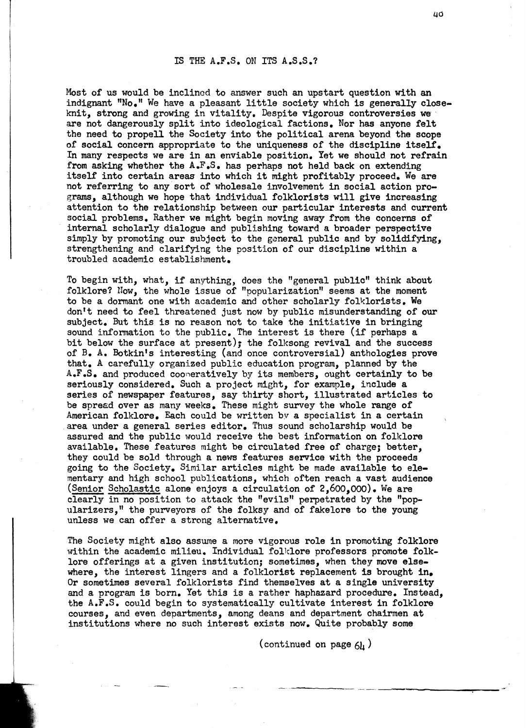## IS **THE** A,F.S. ON ITS A.S,S.?

Most of us would be inclined to answer such an upstart question with an indignant "No." We have a pleasant little society which is generally closeknit, strong and growing in vitality, Despite vigorous controversies we are not dangerously split into ideological factions, Nor has anyone felt the need to propel1 the Society into the political arena beyond the scope of social concern appropriate to the uniqueness of the discipline itself. In many respects we are in an enviable position, Yet we should not refrain from asking whether the **A.F,S,** has perhaps not held back on extending itself into certain areas into which it might profitably proceed. We are not referring to any sort of wholesale involvement in social action programs, although we hope that individual folklorists will give increasing attention to the relationship between our particular interests and current social problems. Rather we might begin moving away from the concerns of internal scholarly dialogue and publishing toward a broader perspective simply by promoting our subject to the general public and by solidifying, strengthening and clarifying the position of our discipline within a troubled academic establishment,

To begin with, what, if anything, does the "general public" think about folklore? Now, the whole issue of "popularization" seems at the moment to be a dormant one with academic and other scholarly folklorists. We don't need to feel threatened just now by public misunderstanding of our subject. But this is no reason not to take the initiative in bringing sound information to the public. The interest is there (if perhaps a bit below the surface at present); the folksong revival and the success of B. A. Botkin's interesting (and once controversial) anthologies prove that, **A** carefully organized public education program, planned by the **A.F.S.** and produced cooneratively by its members, ought certainly to be seriously considered. Such a project might, for example, include a series of newspaper features, say thirty short, illustrated articles to be spresd over as many weeks. These might survey the whole range of American folklore, Each could be written bv a specialist in a certain area under a general series editor. Thus sound scholarship would be assured and the public would receive the best information on folklore available. These features might be circulated free of charge; better, they could be sold through a news features service with the proceeds going to the Society, Similar articles might be made available to elementary and high school publications, which often reach a vast audience (Senior Scholastic alone enjoys a circulation of  $2,600,000$ ). We are From the spreed over as many weeks. These might survey the whole range of mmerican folklore. Each could be written by a specialist in a certain rea under a general series editor. Thus sound scholarship would be assured and clearly in no position to attack the "evils" perpetrated by the "popularizers," the purveyors of the folksy and of fakelore to the young unless we can offer a strong alternative,

The Society might also assume a more vigorous role in promoting folklore within the academic milieu. Individual folklore professors promote folklore offerings at a given institution; sometimes, when they move elsewhere, the interest lingers and a folklorist replacement **fs** brought in. Or sometimes several folklorists find themselves at a single university and a program is born. Yet this is a rather haphazard procedure. Instead, the A.F.3, could begin to systematically cultivate interest in folklore courses, and even departments, among deans and department chairmen at institutions where no such interest exists now. Quite probably some

(continued on page  $6<sub>h</sub>$ )